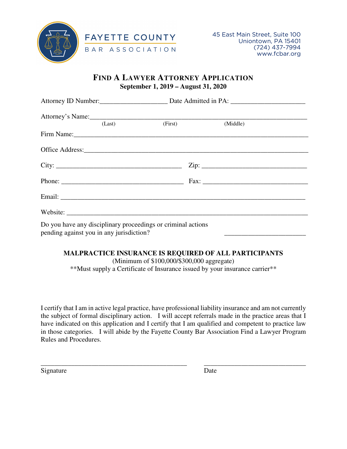

## **FIND A LAWYER ATTORNEY APPLICATION September 1, 2019 – August 31, 2020**

| Attorney's Name:                                                                                                                                                                                                               |         |                |  |
|--------------------------------------------------------------------------------------------------------------------------------------------------------------------------------------------------------------------------------|---------|----------------|--|
| (Last)                                                                                                                                                                                                                         | (First) | (Middle)       |  |
| Firm Name: 1988 Manual Manual Manual Manual Manual Manual Manual Manual Manual Manual Manual Manual Manual Manual Manual Manual Manual Manual Manual Manual Manual Manual Manual Manual Manual Manual Manual Manual Manual Man |         |                |  |
|                                                                                                                                                                                                                                |         |                |  |
| City:                                                                                                                                                                                                                          |         | $\text{Zip: }$ |  |
|                                                                                                                                                                                                                                |         |                |  |
|                                                                                                                                                                                                                                |         |                |  |
|                                                                                                                                                                                                                                |         |                |  |
| Do you have any disciplinary proceedings or criminal actions<br>pending against you in any jurisdiction?                                                                                                                       |         |                |  |

## **MALPRACTICE INSURANCE IS REQUIRED OF ALL PARTICIPANTS**

(Minimum of \$100,000/\$300,000 aggregate) \*\*Must supply a Certificate of Insurance issued by your insurance carrier\*\*

I certify that I am in active legal practice, have professional liability insurance and am not currently the subject of formal disciplinary action. I will accept referrals made in the practice areas that I have indicated on this application and I certify that I am qualified and competent to practice law in those categories. I will abide by the Fayette County Bar Association Find a Lawyer Program Rules and Procedures.

\_\_\_\_\_\_\_\_\_\_\_\_\_\_\_\_\_\_\_\_\_\_\_\_\_\_\_\_\_\_\_\_\_\_\_\_\_\_\_\_\_\_\_ \_\_\_\_\_\_\_\_\_\_\_\_\_\_\_\_\_\_\_\_\_\_\_\_\_\_\_\_\_\_

Signature Date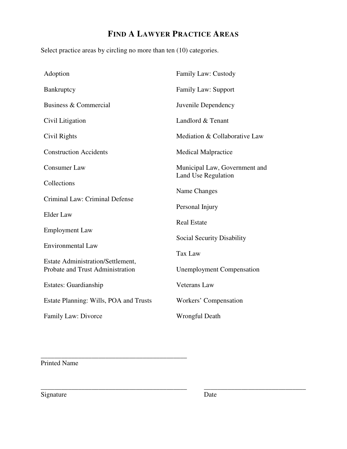## **FIND A LAWYER PRACTICE AREAS**

Select practice areas by circling no more than ten (10) categories.

| Adoption                                                                     | Family Law: Custody                                         |  |
|------------------------------------------------------------------------------|-------------------------------------------------------------|--|
| Bankruptcy                                                                   | <b>Family Law: Support</b>                                  |  |
| Business & Commercial                                                        | Juvenile Dependency                                         |  |
| Civil Litigation                                                             | Landlord & Tenant                                           |  |
| Civil Rights                                                                 | Mediation & Collaborative Law                               |  |
| <b>Construction Accidents</b>                                                | <b>Medical Malpractice</b>                                  |  |
| <b>Consumer Law</b>                                                          | Municipal Law, Government and<br><b>Land Use Regulation</b> |  |
| Collections                                                                  | Name Changes                                                |  |
| Criminal Law: Criminal Defense                                               | Personal Injury<br><b>Real Estate</b>                       |  |
| <b>Elder Law</b>                                                             |                                                             |  |
| <b>Employment Law</b>                                                        |                                                             |  |
| <b>Environmental Law</b>                                                     | <b>Social Security Disability</b>                           |  |
|                                                                              | <b>Tax Law</b>                                              |  |
| <b>Estate Administration/Settlement,</b><br>Probate and Trust Administration | <b>Unemployment Compensation</b>                            |  |
| Estates: Guardianship                                                        | <b>Veterans Law</b>                                         |  |
| Estate Planning: Wills, POA and Trusts                                       | Workers' Compensation                                       |  |
| Family Law: Divorce                                                          | <b>Wrongful Death</b>                                       |  |

Printed Name

\_\_\_\_\_\_\_\_\_\_\_\_\_\_\_\_\_\_\_\_\_\_\_\_\_\_\_\_\_\_\_\_\_\_\_\_\_\_\_\_\_\_\_

Signature Date

\_\_\_\_\_\_\_\_\_\_\_\_\_\_\_\_\_\_\_\_\_\_\_\_\_\_\_\_\_\_\_\_\_\_\_\_\_\_\_\_\_\_\_ \_\_\_\_\_\_\_\_\_\_\_\_\_\_\_\_\_\_\_\_\_\_\_\_\_\_\_\_\_\_